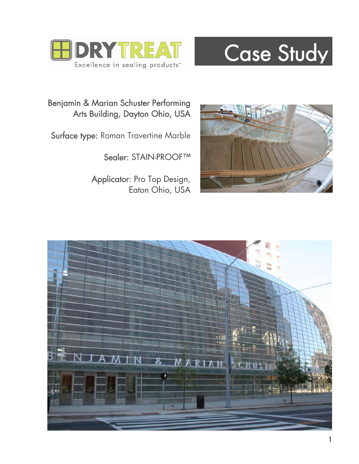

## Case Study

Benjamin & Marian Schuster Performing Arts Building, Dayton Ohio, USA

Surface type: Roman Travertine Marble

Sealer: STAIN-PROOF™

 Applicator: Pro Top Design, Eaton Ohio, USA



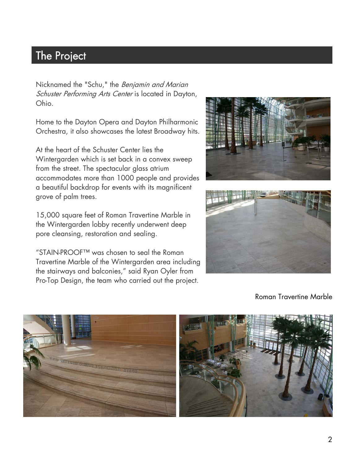## The Project  $\blacksquare$  The largest doomed stadium  $\blacksquare$

.<br>ا Ohio. Nicknamed the "Schu," the Benjamin and Marian Schuster Performing Arts Center is located in Dayton,

Home to the Dayton Opera and Dayton Philharmonic Orchestra, it also showcases the latest Broadway hits.

At the heart of the Schuster Center lies the Wintergarden which is set back in a convex sweep from the street. The spectacular glass atrium accommodates more than 1000 people and provides a beautiful backdrop for events with its magnificent grove of palm trees.

 pore cleansing, restoration and sealing. 15,000 square feet of Roman Travertine Marble in the Wintergarden lobby recently underwent deep

 the stairways and balconies," said Ryan Oyler from "STAIN-PROOF™ was chosen to seal the Roman Travertine Marble of the Wintergarden area including Pro-Top Design, the team who carried out the project.





Roman Travertine Marble